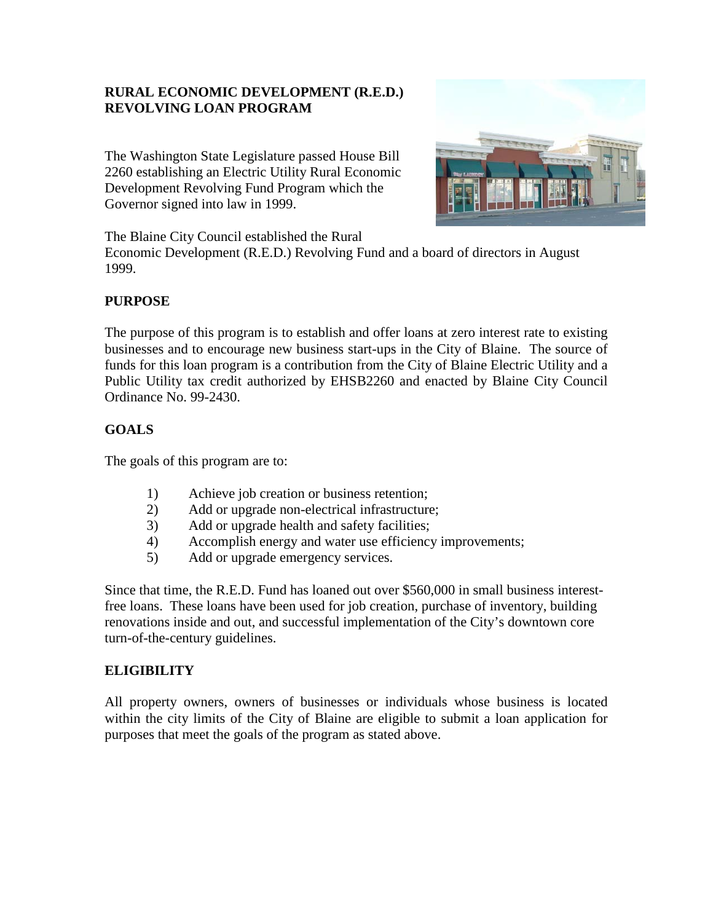# **RURAL ECONOMIC DEVELOPMENT (R.E.D.) REVOLVING LOAN PROGRAM**

The Washington State Legislature passed House Bill 2260 establishing an Electric Utility Rural Economic Development Revolving Fund Program which the Governor signed into law in 1999.



The Blaine City Council established the Rural

Economic Development (R.E.D.) Revolving Fund and a board of directors in August 1999.

# **PURPOSE**

The purpose of this program is to establish and offer loans at zero interest rate to existing businesses and to encourage new business start-ups in the City of Blaine. The source of funds for this loan program is a contribution from the City of Blaine Electric Utility and a Public Utility tax credit authorized by EHSB2260 and enacted by Blaine City Council Ordinance No. 99-2430.

# **GOALS**

The goals of this program are to:

- 1) Achieve job creation or business retention;
- 2) Add or upgrade non-electrical infrastructure;
- 3) Add or upgrade health and safety facilities;
- 4) Accomplish energy and water use efficiency improvements;
- 5) Add or upgrade emergency services.

Since that time, the R.E.D. Fund has loaned out over \$560,000 in small business interestfree loans. These loans have been used for job creation, purchase of inventory, building renovations inside and out, and successful implementation of the City's downtown core turn-of-the-century guidelines.

## **ELIGIBILITY**

All property owners, owners of businesses or individuals whose business is located within the city limits of the City of Blaine are eligible to submit a loan application for purposes that meet the goals of the program as stated above.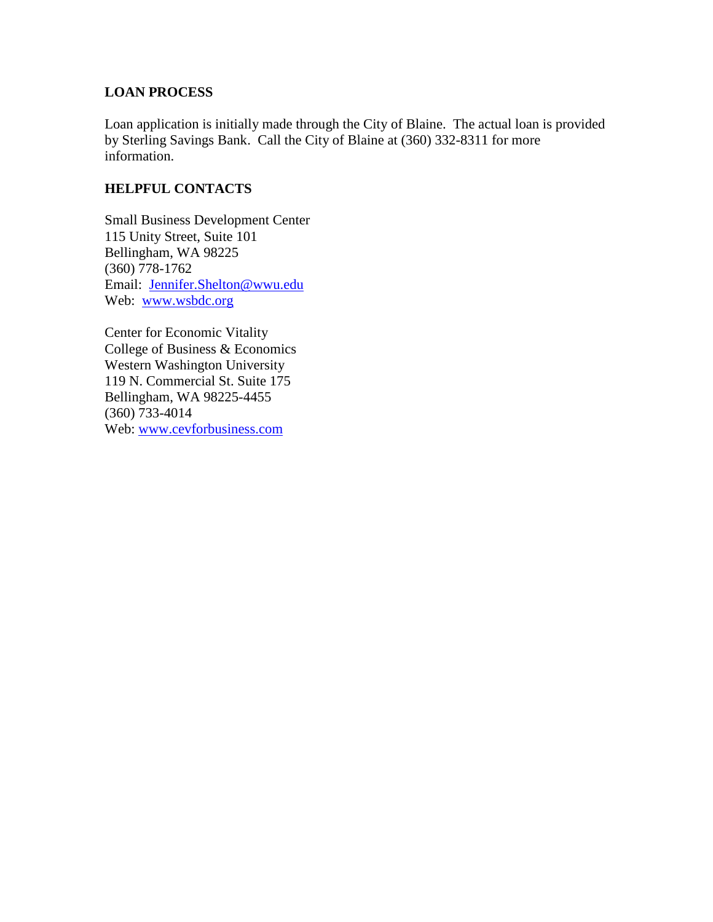## **LOAN PROCESS**

Loan application is initially made through the City of Blaine. The actual loan is provided by Sterling Savings Bank. Call the City of Blaine at (360) 332-8311 for more information.

## **HELPFUL CONTACTS**

Small Business Development Center 115 Unity Street, Suite 101 Bellingham, WA 98225 (360) 778-1762 Email: [Jennifer.Shelton@wwu.edu](mailto:Jennifer.Shelton@wwu.edu) Web: [www.wsbdc.org](http://www.wsbdc.org/)

Center for Economic Vitality College of Business & Economics Western Washington University 119 N. Commercial St. Suite 175 Bellingham, WA 98225-4455 (360) 733-4014 Web: [www.cevforbusiness.com](http://www.cevforbusiness.com/)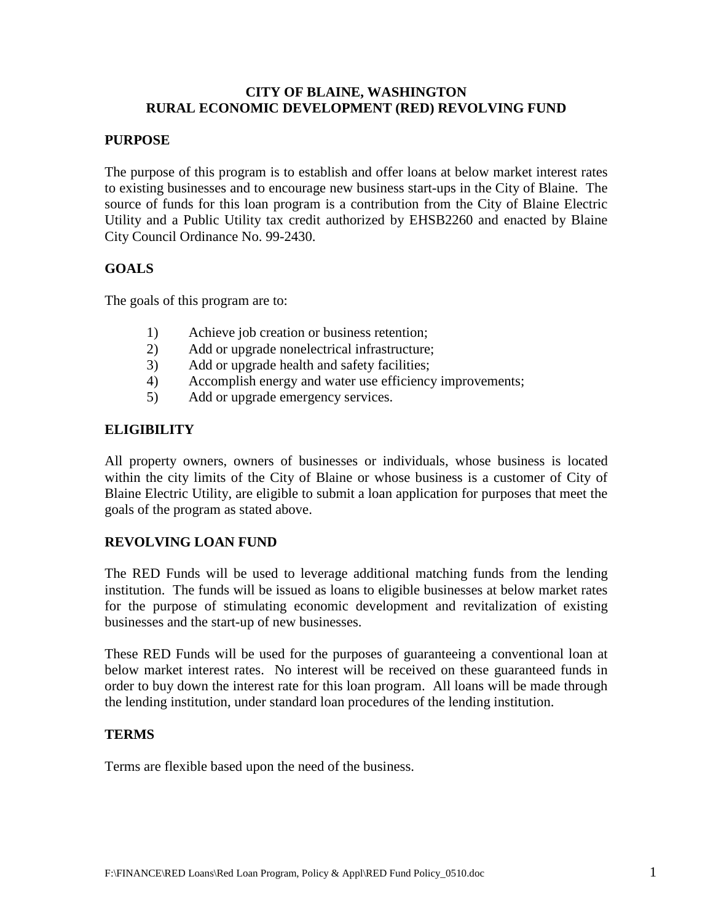### **CITY OF BLAINE, WASHINGTON RURAL ECONOMIC DEVELOPMENT (RED) REVOLVING FUND**

### **PURPOSE**

The purpose of this program is to establish and offer loans at below market interest rates to existing businesses and to encourage new business start-ups in the City of Blaine. The source of funds for this loan program is a contribution from the City of Blaine Electric Utility and a Public Utility tax credit authorized by EHSB2260 and enacted by Blaine City Council Ordinance No. 99-2430.

## **GOALS**

The goals of this program are to:

- 1) Achieve job creation or business retention;
- 2) Add or upgrade nonelectrical infrastructure;
- 3) Add or upgrade health and safety facilities;
- 4) Accomplish energy and water use efficiency improvements;
- 5) Add or upgrade emergency services.

#### **ELIGIBILITY**

All property owners, owners of businesses or individuals, whose business is located within the city limits of the City of Blaine or whose business is a customer of City of Blaine Electric Utility, are eligible to submit a loan application for purposes that meet the goals of the program as stated above.

#### **REVOLVING LOAN FUND**

The RED Funds will be used to leverage additional matching funds from the lending institution. The funds will be issued as loans to eligible businesses at below market rates for the purpose of stimulating economic development and revitalization of existing businesses and the start-up of new businesses.

These RED Funds will be used for the purposes of guaranteeing a conventional loan at below market interest rates. No interest will be received on these guaranteed funds in order to buy down the interest rate for this loan program. All loans will be made through the lending institution, under standard loan procedures of the lending institution.

#### **TERMS**

Terms are flexible based upon the need of the business.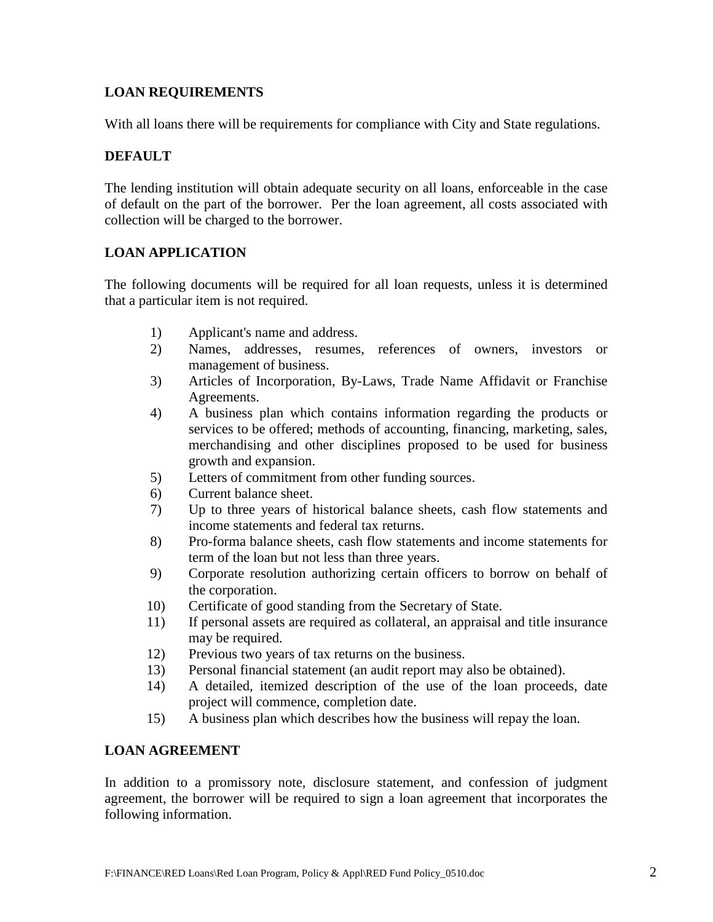# **LOAN REQUIREMENTS**

With all loans there will be requirements for compliance with City and State regulations.

## **DEFAULT**

The lending institution will obtain adequate security on all loans, enforceable in the case of default on the part of the borrower. Per the loan agreement, all costs associated with collection will be charged to the borrower.

## **LOAN APPLICATION**

The following documents will be required for all loan requests, unless it is determined that a particular item is not required.

- 1) Applicant's name and address.
- 2) Names, addresses, resumes, references of owners, investors or management of business.
- 3) Articles of Incorporation, By-Laws, Trade Name Affidavit or Franchise Agreements.
- 4) A business plan which contains information regarding the products or services to be offered; methods of accounting, financing, marketing, sales, merchandising and other disciplines proposed to be used for business growth and expansion.
- 5) Letters of commitment from other funding sources.
- 6) Current balance sheet.
- 7) Up to three years of historical balance sheets, cash flow statements and income statements and federal tax returns.
- 8) Pro-forma balance sheets, cash flow statements and income statements for term of the loan but not less than three years.
- 9) Corporate resolution authorizing certain officers to borrow on behalf of the corporation.
- 10) Certificate of good standing from the Secretary of State.
- 11) If personal assets are required as collateral, an appraisal and title insurance may be required.
- 12) Previous two years of tax returns on the business.
- 13) Personal financial statement (an audit report may also be obtained).
- 14) A detailed, itemized description of the use of the loan proceeds, date project will commence, completion date.
- 15) A business plan which describes how the business will repay the loan.

## **LOAN AGREEMENT**

In addition to a promissory note, disclosure statement, and confession of judgment agreement, the borrower will be required to sign a loan agreement that incorporates the following information.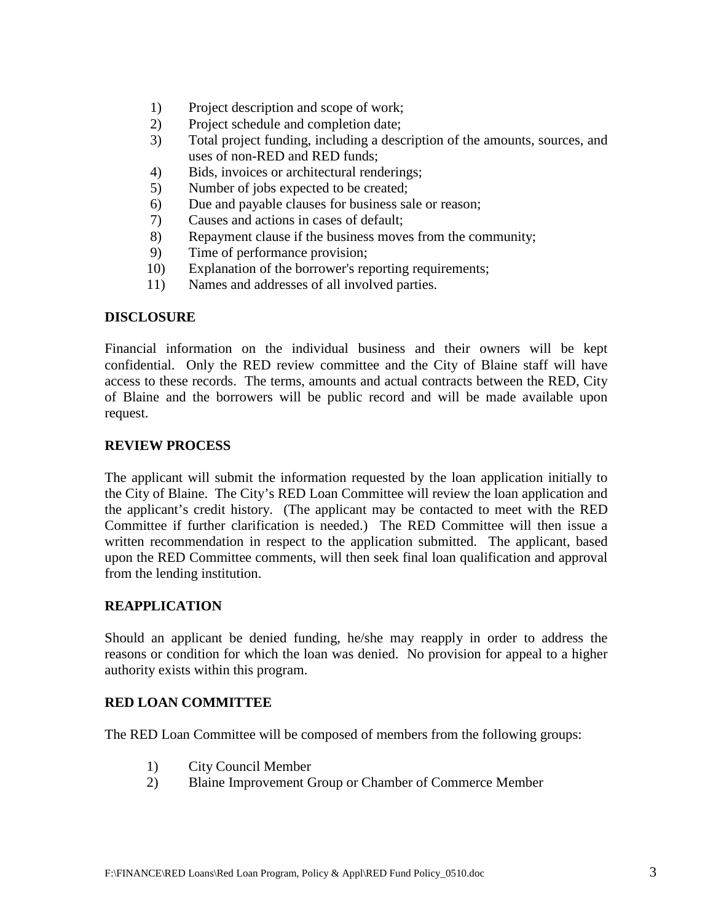- 1) Project description and scope of work;
- 2) Project schedule and completion date;
- 3) Total project funding, including a description of the amounts, sources, and uses of non-RED and RED funds;
- 4) Bids, invoices or architectural renderings;
- 5) Number of jobs expected to be created;
- 6) Due and payable clauses for business sale or reason;
- 7) Causes and actions in cases of default;
- 8) Repayment clause if the business moves from the community;
- 9) Time of performance provision;
- 10) Explanation of the borrower's reporting requirements;
- 11) Names and addresses of all involved parties.

#### **DISCLOSURE**

Financial information on the individual business and their owners will be kept confidential. Only the RED review committee and the City of Blaine staff will have access to these records. The terms, amounts and actual contracts between the RED, City of Blaine and the borrowers will be public record and will be made available upon request.

#### **REVIEW PROCESS**

The applicant will submit the information requested by the loan application initially to the City of Blaine. The City's RED Loan Committee will review the loan application and the applicant's credit history. (The applicant may be contacted to meet with the RED Committee if further clarification is needed.) The RED Committee will then issue a written recommendation in respect to the application submitted. The applicant, based upon the RED Committee comments, will then seek final loan qualification and approval from the lending institution.

#### **REAPPLICATION**

Should an applicant be denied funding, he/she may reapply in order to address the reasons or condition for which the loan was denied. No provision for appeal to a higher authority exists within this program.

#### **RED LOAN COMMITTEE**

The RED Loan Committee will be composed of members from the following groups:

- 1) City Council Member
- 2) Blaine Improvement Group or Chamber of Commerce Member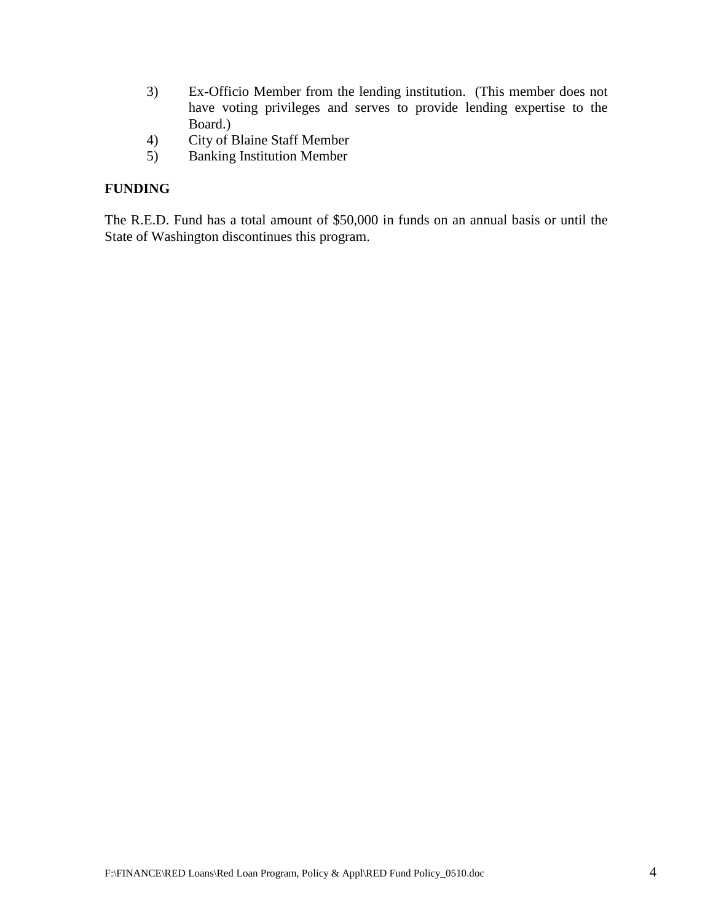- 3) Ex-Officio Member from the lending institution. (This member does not have voting privileges and serves to provide lending expertise to the Board.)
- 4) City of Blaine Staff Member
- 5) Banking Institution Member

## **FUNDING**

The R.E.D. Fund has a total amount of \$50,000 in funds on an annual basis or until the State of Washington discontinues this program.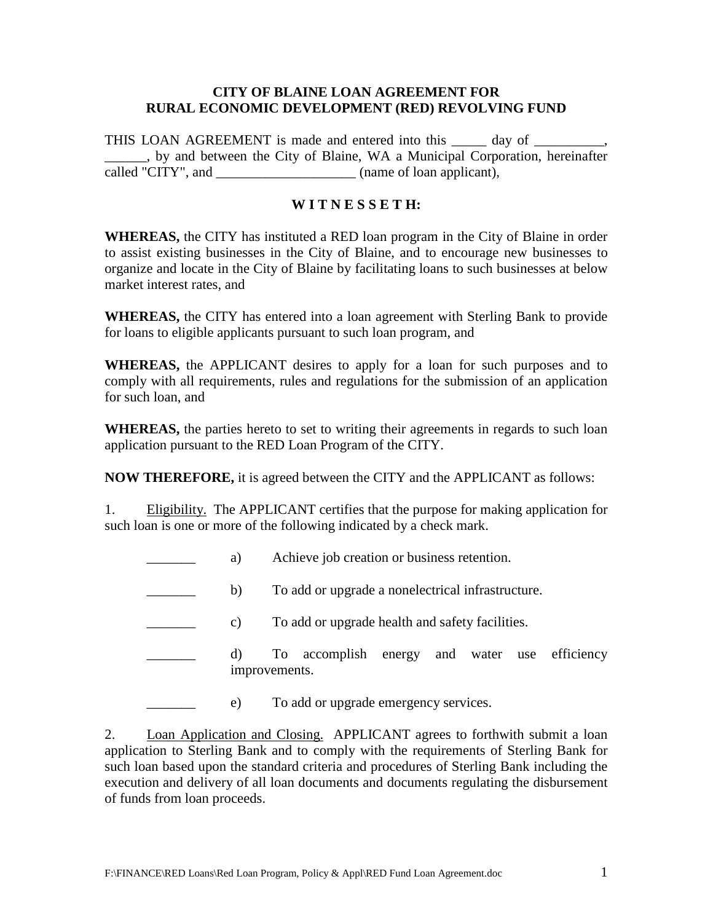#### **CITY OF BLAINE LOAN AGREEMENT FOR RURAL ECONOMIC DEVELOPMENT (RED) REVOLVING FUND**

THIS LOAN AGREEMENT is made and entered into this \_\_\_\_\_\_\_ day of \_\_\_\_\_\_ \_\_\_\_\_\_, by and between the City of Blaine, WA a Municipal Corporation, hereinafter called "CITY", and \_\_\_\_\_\_\_\_\_\_\_\_\_\_\_\_\_\_\_\_ (name of loan applicant),

#### **W I T N E S S E T H:**

**WHEREAS,** the CITY has instituted a RED loan program in the City of Blaine in order to assist existing businesses in the City of Blaine, and to encourage new businesses to organize and locate in the City of Blaine by facilitating loans to such businesses at below market interest rates, and

**WHEREAS,** the CITY has entered into a loan agreement with Sterling Bank to provide for loans to eligible applicants pursuant to such loan program, and

**WHEREAS,** the APPLICANT desires to apply for a loan for such purposes and to comply with all requirements, rules and regulations for the submission of an application for such loan, and

**WHEREAS,** the parties hereto to set to writing their agreements in regards to such loan application pursuant to the RED Loan Program of the CITY.

**NOW THEREFORE,** it is agreed between the CITY and the APPLICANT as follows:

1. Eligibility. The APPLICANT certifies that the purpose for making application for such loan is one or more of the following indicated by a check mark.

- a) Achieve job creation or business retention.
- b) To add or upgrade a nonelectrical infrastructure.

c) To add or upgrade health and safety facilities.

\_\_\_\_\_\_\_ d) To accomplish energy and water use efficiency improvements.

e) To add or upgrade emergency services.

2. Loan Application and Closing. APPLICANT agrees to forthwith submit a loan application to Sterling Bank and to comply with the requirements of Sterling Bank for such loan based upon the standard criteria and procedures of Sterling Bank including the execution and delivery of all loan documents and documents regulating the disbursement of funds from loan proceeds.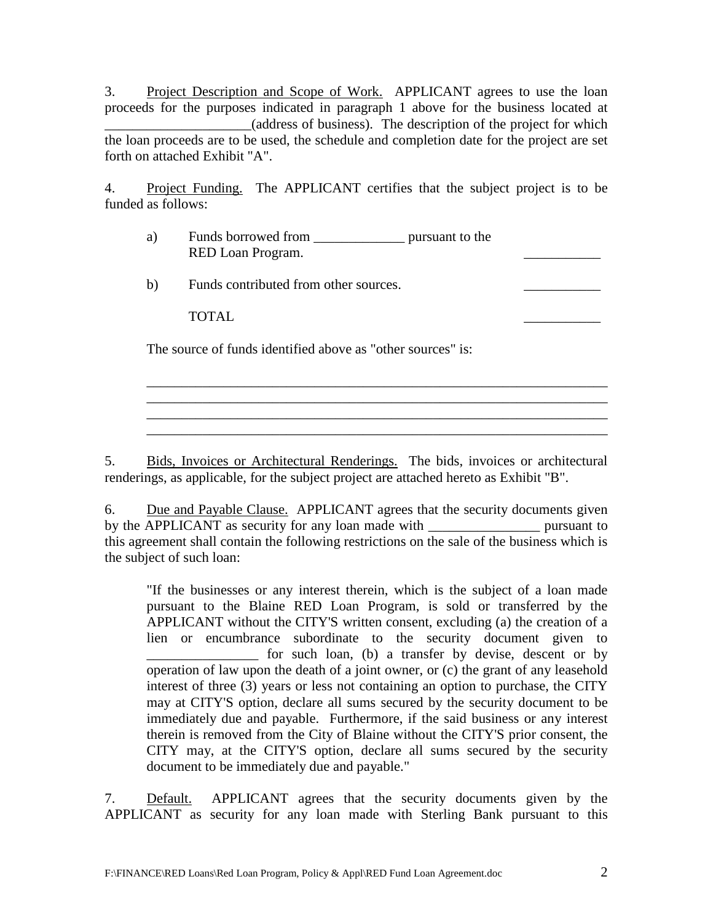3. Project Description and Scope of Work. APPLICANT agrees to use the loan proceeds for the purposes indicated in paragraph 1 above for the business located at \_\_\_\_\_\_\_\_\_\_\_\_\_\_\_\_\_\_\_\_\_(address of business). The description of the project for which the loan proceeds are to be used, the schedule and completion date for the project are set forth on attached Exhibit "A".

4. Project Funding. The APPLICANT certifies that the subject project is to be funded as follows:

- a) Funds borrowed from \_\_\_\_\_\_\_\_\_\_\_\_\_ pursuant to the RED Loan Program.
- b) Funds contributed from other sources.

TOTAL PRODUCERS AND TOTAL TOTAL PRODUCERS AND TOTAL PRODUCERS AND TOTAL PRODUCERS AND TOTAL PRODUCERS.

The source of funds identified above as "other sources" is:

5. Bids, Invoices or Architectural Renderings. The bids, invoices or architectural renderings, as applicable, for the subject project are attached hereto as Exhibit "B".

\_\_\_\_\_\_\_\_\_\_\_\_\_\_\_\_\_\_\_\_\_\_\_\_\_\_\_\_\_\_\_\_\_\_\_\_\_\_\_\_\_\_\_\_\_\_\_\_\_\_\_\_\_\_\_\_\_\_\_\_\_\_\_\_\_\_ \_\_\_\_\_\_\_\_\_\_\_\_\_\_\_\_\_\_\_\_\_\_\_\_\_\_\_\_\_\_\_\_\_\_\_\_\_\_\_\_\_\_\_\_\_\_\_\_\_\_\_\_\_\_\_\_\_\_\_\_\_\_\_\_\_\_ \_\_\_\_\_\_\_\_\_\_\_\_\_\_\_\_\_\_\_\_\_\_\_\_\_\_\_\_\_\_\_\_\_\_\_\_\_\_\_\_\_\_\_\_\_\_\_\_\_\_\_\_\_\_\_\_\_\_\_\_\_\_\_\_\_\_

6. Due and Payable Clause. APPLICANT agrees that the security documents given by the APPLICANT as security for any loan made with pursuant to this agreement shall contain the following restrictions on the sale of the business which is the subject of such loan:

"If the businesses or any interest therein, which is the subject of a loan made pursuant to the Blaine RED Loan Program, is sold or transferred by the APPLICANT without the CITY'S written consent, excluding (a) the creation of a lien or encumbrance subordinate to the security document given to for such loan, (b) a transfer by devise, descent or by operation of law upon the death of a joint owner, or (c) the grant of any leasehold interest of three (3) years or less not containing an option to purchase, the CITY may at CITY'S option, declare all sums secured by the security document to be immediately due and payable. Furthermore, if the said business or any interest therein is removed from the City of Blaine without the CITY'S prior consent, the CITY may, at the CITY'S option, declare all sums secured by the security document to be immediately due and payable."

7. Default. APPLICANT agrees that the security documents given by the APPLICANT as security for any loan made with Sterling Bank pursuant to this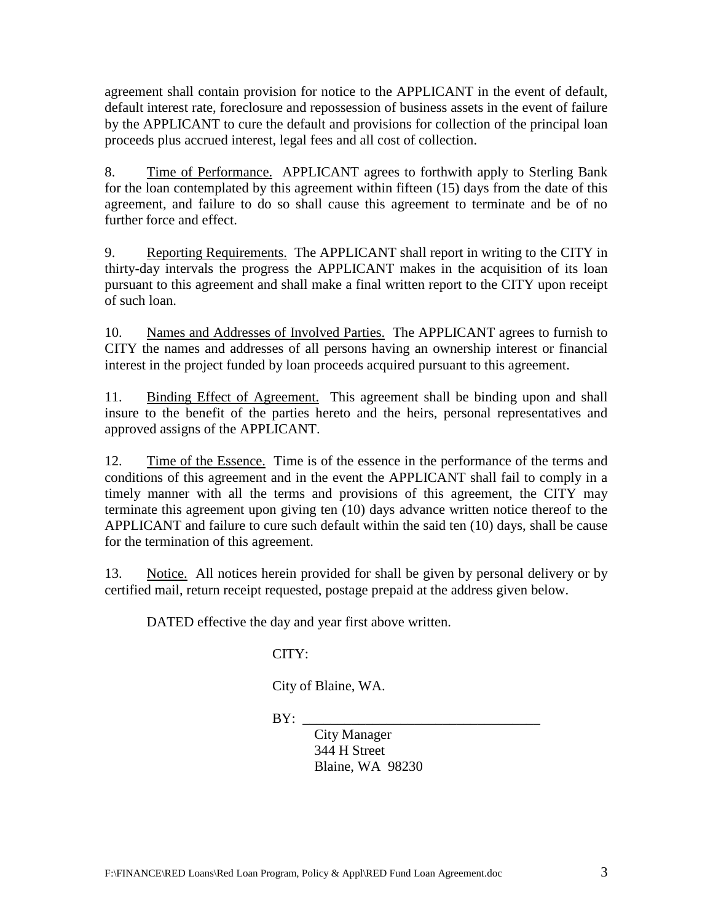agreement shall contain provision for notice to the APPLICANT in the event of default, default interest rate, foreclosure and repossession of business assets in the event of failure by the APPLICANT to cure the default and provisions for collection of the principal loan proceeds plus accrued interest, legal fees and all cost of collection.

8. Time of Performance. APPLICANT agrees to forthwith apply to Sterling Bank for the loan contemplated by this agreement within fifteen (15) days from the date of this agreement, and failure to do so shall cause this agreement to terminate and be of no further force and effect.

9. Reporting Requirements. The APPLICANT shall report in writing to the CITY in thirty-day intervals the progress the APPLICANT makes in the acquisition of its loan pursuant to this agreement and shall make a final written report to the CITY upon receipt of such loan.

10. Names and Addresses of Involved Parties. The APPLICANT agrees to furnish to CITY the names and addresses of all persons having an ownership interest or financial interest in the project funded by loan proceeds acquired pursuant to this agreement.

11. Binding Effect of Agreement. This agreement shall be binding upon and shall insure to the benefit of the parties hereto and the heirs, personal representatives and approved assigns of the APPLICANT.

12. Time of the Essence. Time is of the essence in the performance of the terms and conditions of this agreement and in the event the APPLICANT shall fail to comply in a timely manner with all the terms and provisions of this agreement, the CITY may terminate this agreement upon giving ten (10) days advance written notice thereof to the APPLICANT and failure to cure such default within the said ten (10) days, shall be cause for the termination of this agreement.

13. Notice. All notices herein provided for shall be given by personal delivery or by certified mail, return receipt requested, postage prepaid at the address given below.

DATED effective the day and year first above written.

# CITY:

City of Blaine, WA.

 $BY:$ 

City Manager 344 H Street Blaine, WA 98230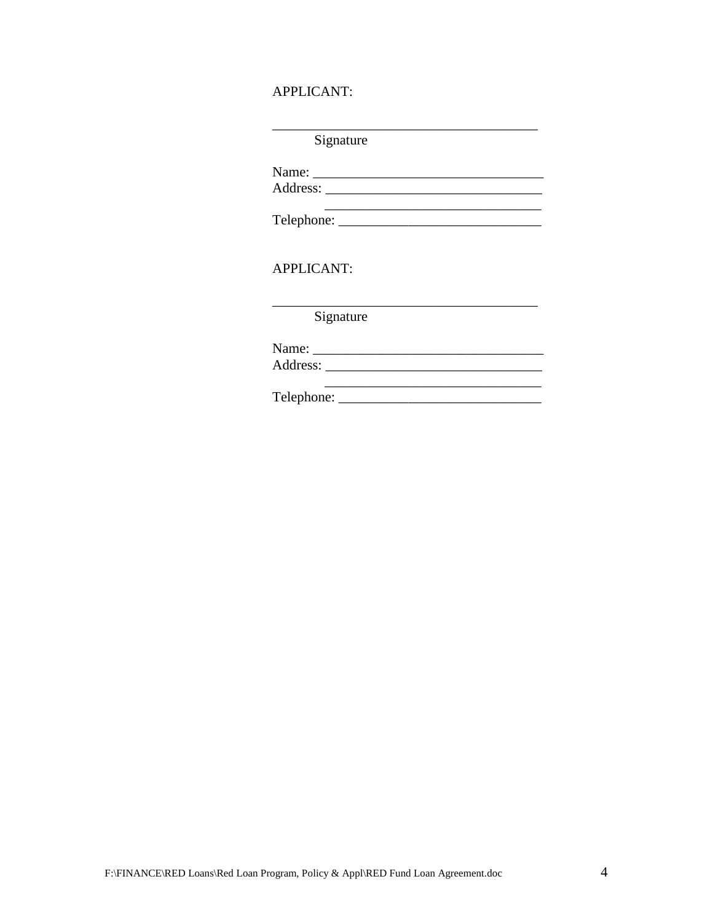## **APPLICANT:**

| Signature |  |
|-----------|--|
|-----------|--|

**APPLICANT:** 

Signature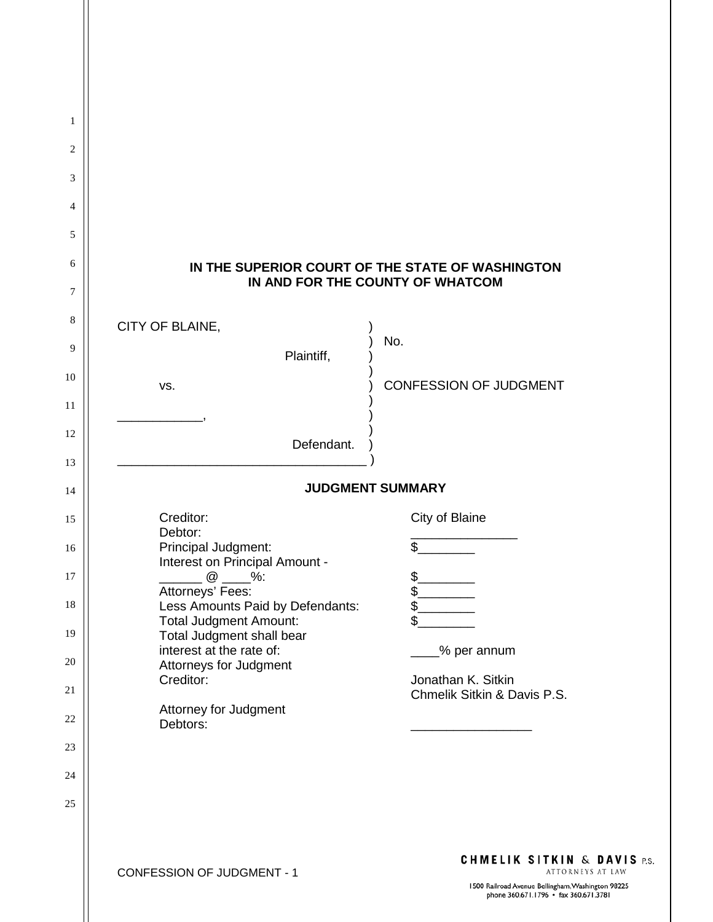| 1        |                                                                   |                                                                                                                 |  |  |
|----------|-------------------------------------------------------------------|-----------------------------------------------------------------------------------------------------------------|--|--|
| 2        |                                                                   |                                                                                                                 |  |  |
| 3        |                                                                   |                                                                                                                 |  |  |
| 4        |                                                                   |                                                                                                                 |  |  |
| 5        |                                                                   |                                                                                                                 |  |  |
| 6        |                                                                   | IN THE SUPERIOR COURT OF THE STATE OF WASHINGTON                                                                |  |  |
| 7        | IN AND FOR THE COUNTY OF WHATCOM                                  |                                                                                                                 |  |  |
| 8        | CITY OF BLAINE,                                                   |                                                                                                                 |  |  |
| 9        | Plaintiff,                                                        | No.                                                                                                             |  |  |
| 10       | VS.                                                               | <b>CONFESSION OF JUDGMENT</b>                                                                                   |  |  |
| 11       |                                                                   |                                                                                                                 |  |  |
| 12       | Defendant.                                                        |                                                                                                                 |  |  |
| 13       |                                                                   |                                                                                                                 |  |  |
| 14       | <b>JUDGMENT SUMMARY</b>                                           |                                                                                                                 |  |  |
| 15       | Creditor:<br>Debtor:                                              | City of Blaine                                                                                                  |  |  |
| 16       | Principal Judgment:<br>Interest on Principal Amount -             | \$                                                                                                              |  |  |
| 17       | @<br>$\frac{9}{6}$ :<br>Attorneys' Fees:                          | $\mathfrak{S}$<br>\$.                                                                                           |  |  |
| 18       | Less Amounts Paid by Defendants:<br><b>Total Judgment Amount:</b> | \$<br>\$                                                                                                        |  |  |
| 19       | Total Judgment shall bear<br>interest at the rate of:             | % per annum                                                                                                     |  |  |
| 20<br>21 | Attorneys for Judgment<br>Creditor:                               | Jonathan K. Sitkin                                                                                              |  |  |
| 22       | Attorney for Judgment                                             | Chmelik Sitkin & Davis P.S.                                                                                     |  |  |
| 23       | Debtors:                                                          |                                                                                                                 |  |  |
| 24       |                                                                   |                                                                                                                 |  |  |
| 25       |                                                                   |                                                                                                                 |  |  |
|          |                                                                   |                                                                                                                 |  |  |
|          | <b>CONFESSION OF JUDGMENT - 1</b>                                 | <b>CHMELIK SITKIN &amp; DAVIS P.S.</b><br>ATTORNEYS AT LAW<br>1500 Railroad Avenue Bellingham, Washington 98225 |  |  |

 $\mathbf{\mathcal{L}}$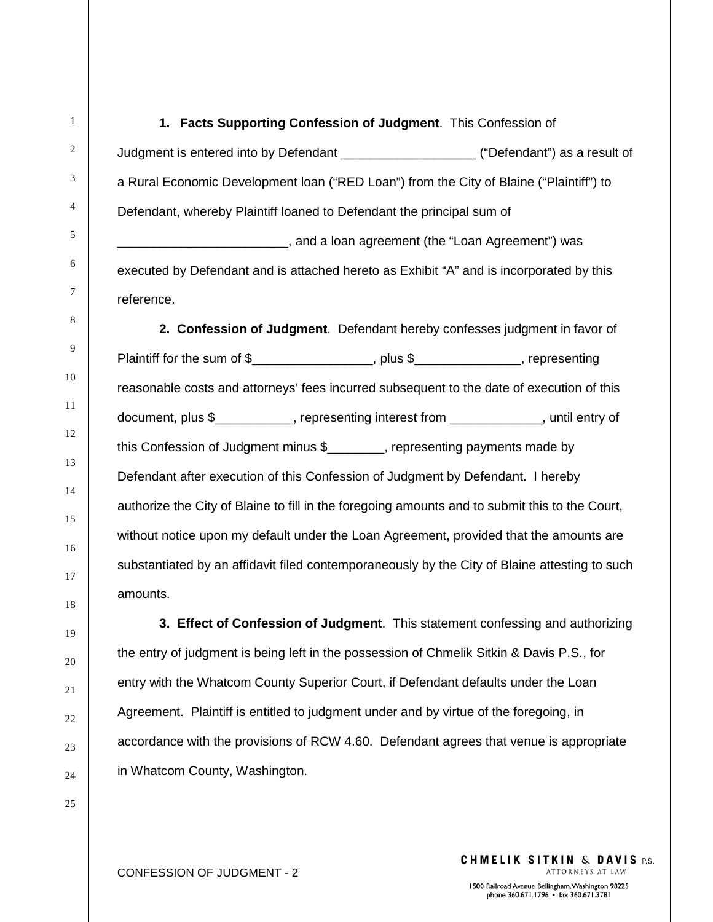Judgment is entered into by Defendant \_\_\_\_\_\_\_\_\_\_\_\_\_\_\_\_\_\_\_ ("Defendant") as a result of a Rural Economic Development loan ("RED Loan") from the City of Blaine ("Plaintiff") to Defendant, whereby Plaintiff loaned to Defendant the principal sum of \_\_\_\_\_\_\_\_\_\_\_\_\_\_\_\_\_\_\_\_\_\_\_\_, and a loan agreement (the "Loan Agreement") was executed by Defendant and is attached hereto as Exhibit "A" and is incorporated by this

**1. Facts Supporting Confession of Judgment**. This Confession of

reference.

**2. Confession of Judgment**. Defendant hereby confesses judgment in favor of Plaintiff for the sum of \$\_\_\_\_\_\_\_\_\_\_\_\_\_\_\_, plus \$\_\_\_\_\_\_\_\_\_\_\_\_, representing reasonable costs and attorneys' fees incurred subsequent to the date of execution of this document, plus \$ The presenting interest from the section of the section of the section of the section of the s this Confession of Judgment minus \$\_\_\_\_\_\_\_\_, representing payments made by Defendant after execution of this Confession of Judgment by Defendant. I hereby authorize the City of Blaine to fill in the foregoing amounts and to submit this to the Court, without notice upon my default under the Loan Agreement, provided that the amounts are substantiated by an affidavit filed contemporaneously by the City of Blaine attesting to such amounts.

**3. Effect of Confession of Judgment**. This statement confessing and authorizing the entry of judgment is being left in the possession of Chmelik Sitkin & Davis P.S., for entry with the Whatcom County Superior Court, if Defendant defaults under the Loan Agreement. Plaintiff is entitled to judgment under and by virtue of the foregoing, in accordance with the provisions of RCW 4.60. Defendant agrees that venue is appropriate in Whatcom County, Washington.

1

2

**CHMELIK SITKIN & DAVIS P.S.** ATTORNEYS AT LAW

1500 Railroad Avenue Bellingham, Washington 98225 phone 360.671.1796 · fax 360.671.3781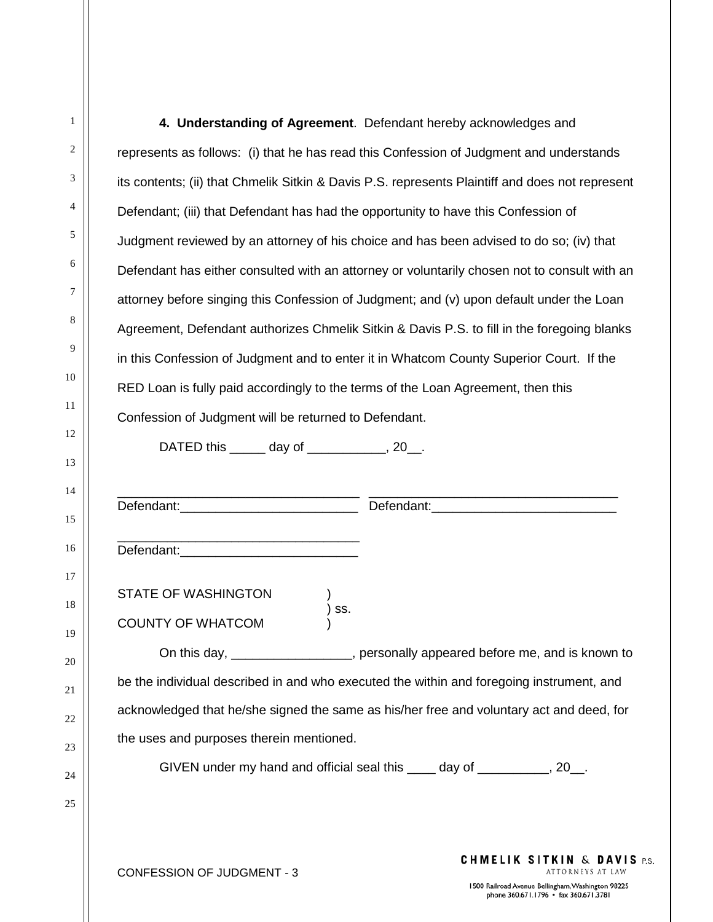|                                                                                                 | 4. Understanding of Agreement. Defendant hereby acknowledges and                             |  |  |
|-------------------------------------------------------------------------------------------------|----------------------------------------------------------------------------------------------|--|--|
| represents as follows: (i) that he has read this Confession of Judgment and understands         |                                                                                              |  |  |
| its contents; (ii) that Chmelik Sitkin & Davis P.S. represents Plaintiff and does not represent |                                                                                              |  |  |
| Defendant; (iii) that Defendant has had the opportunity to have this Confession of              |                                                                                              |  |  |
|                                                                                                 | Judgment reviewed by an attorney of his choice and has been advised to do so; (iv) that      |  |  |
|                                                                                                 | Defendant has either consulted with an attorney or voluntarily chosen not to consult with an |  |  |
|                                                                                                 | attorney before singing this Confession of Judgment; and (v) upon default under the Loan     |  |  |
|                                                                                                 | Agreement, Defendant authorizes Chmelik Sitkin & Davis P.S. to fill in the foregoing blanks  |  |  |
|                                                                                                 | in this Confession of Judgment and to enter it in Whatcom County Superior Court. If the      |  |  |
| RED Loan is fully paid accordingly to the terms of the Loan Agreement, then this                |                                                                                              |  |  |
| Confession of Judgment will be returned to Defendant.                                           |                                                                                              |  |  |
| DATED this ______ day of ___________, 20__.                                                     |                                                                                              |  |  |
|                                                                                                 |                                                                                              |  |  |
|                                                                                                 |                                                                                              |  |  |
| Defendant:_<br><u> 1980 - Jan Barbara, martin da kasar A</u>                                    |                                                                                              |  |  |
| <b>STATE OF WASHINGTON</b>                                                                      |                                                                                              |  |  |
| SS.<br><b>COUNTY OF WHATCOM</b>                                                                 |                                                                                              |  |  |
|                                                                                                 | On this day, __________________, personally appeared before me, and is known to              |  |  |
|                                                                                                 | be the individual described in and who executed the within and foregoing instrument, and     |  |  |
|                                                                                                 | acknowledged that he/she signed the same as his/her free and voluntary act and deed, for     |  |  |
| the uses and purposes therein mentioned.                                                        |                                                                                              |  |  |
|                                                                                                 | GIVEN under my hand and official seal this _____ day of ___________, 20__.                   |  |  |
|                                                                                                 |                                                                                              |  |  |
|                                                                                                 |                                                                                              |  |  |
| CONEESSION OF HIDGMENT - 3                                                                      | <b>CHMELIK SITKIN &amp; DAVIS P.S.</b>                                                       |  |  |

1500 Railroad Avenue Bellingham, Washington 98225<br>phone 360.671.1796 • fax 360.671.3781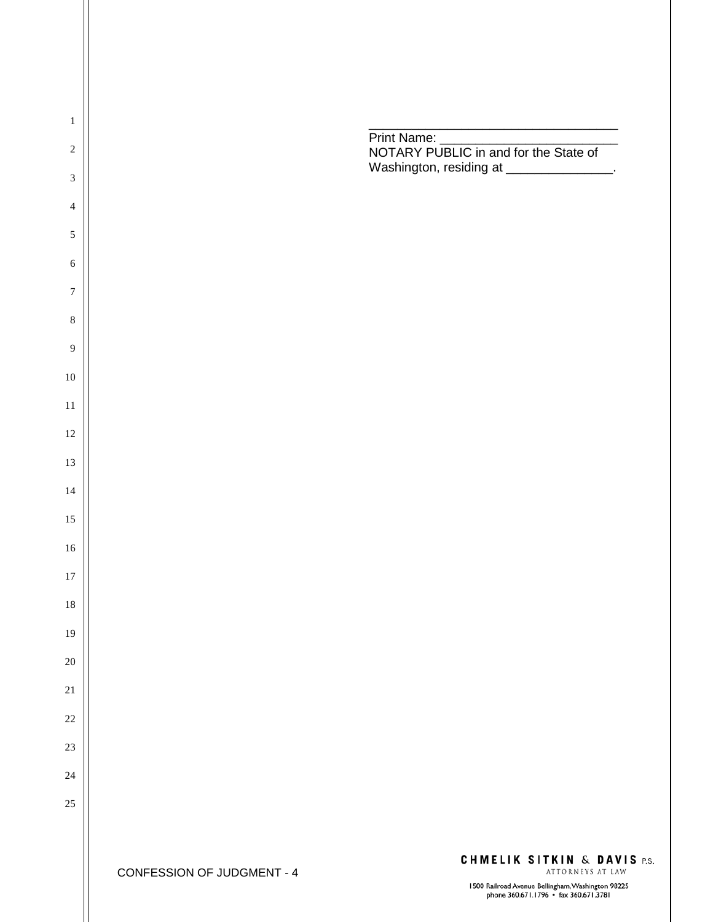

1500 Railroad Avenue Bellingham, Washington 98225<br>phone 360.671.1796 • fax 360.671.3781